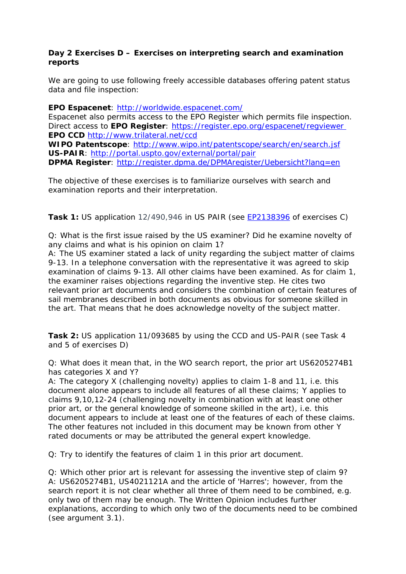## **Day 2 Exercises D – Exercises on interpreting search and examination reports**

We are going to use following freely accessible databases offering patent status data and file inspection:

**EPO Espacenet**:<http://worldwide.espacenet.com/>

Espacenet also permits access to the EPO Register which permits file inspection. Direct access to **EPO Register**: <https://register.epo.org/espacenet/regviewer> **EPO CCD** <http://www.trilateral.net/ccd>

**WIPO Patentscope**:<http://www.wipo.int/patentscope/search/en/search.jsf> **US-PAIR**: <http://portal.uspto.gov/external/portal/pair>

**DPMA Register**:<http://register.dpma.de/DPMAregister/Uebersicht?lang=en>

The objective of these exercises is to familiarize ourselves with search and examination reports and their interpretation.

**Task 1:** US application 12/490,946 in US PAIR (see [EP2138396](http://worldwide.espacenet.com/publicationDetails/biblio?DB=worldwide.espacenet.com&II=0&ND=3&adjacent=true&locale=en_EP&FT=D&date=20091230&CC=EP&NR=2138396A2&KC=A2) of exercises C)

Q: What is the first issue raised by the US examiner? Did he examine novelty of any claims and what is his opinion on claim 1?

A: The US examiner stated a lack of unity regarding the subject matter of claims 9-13. In a telephone conversation with the representative it was agreed to skip examination of claims 9-13. All other claims have been examined. As for claim 1, the examiner raises objections regarding the inventive step. He cites two relevant prior art documents and considers the combination of certain features of sail membranes described in both documents as obvious for someone skilled in the art. That means that he does acknowledge novelty of the subject matter.

**Task 2:** US application 11/093685 by using the CCD and US-PAIR (see Task 4 and 5 of exercises D)

Q: What does it mean that, in the WO search report, the prior art US6205274B1 has categories X and Y?

A: The category X (challenging novelty) applies to claim 1-8 and 11, i.e. this document alone appears to include all features of all these claims; Y applies to claims 9,10,12-24 (challenging novelty in combination with at least one other prior art, or the general knowledge of someone skilled in the art), i.e. this document appears to include at least one of the features of each of these claims. The other features not included in this document may be known from other Y rated documents or may be attributed the general expert knowledge.

Q: Try to identify the features of claim 1 in this prior art document.

Q: Which other prior art is relevant for assessing the inventive step of claim 9? A: US6205274B1, US4021121A and the article of 'Harres'; however, from the search report it is not clear whether all three of them need to be combined, e.g. only two of them may be enough. The Written Opinion includes further explanations, according to which only two of the documents need to be combined (see argument 3.1).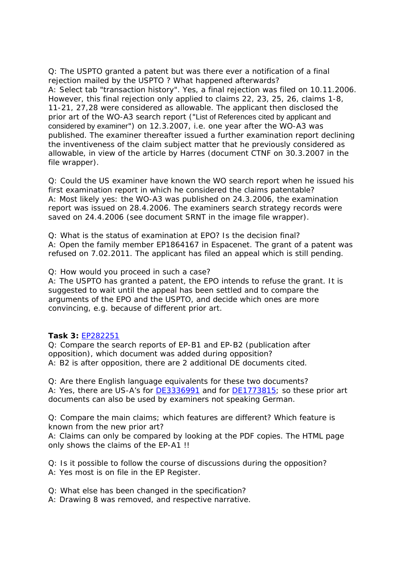Q: The USPTO granted a patent but was there ever a notification of a final rejection mailed by the USPTO ? What happened afterwards? A: Select tab "transaction history". Yes, a final rejection was filed on 10.11.2006. However, this final rejection only applied to claims 22, 23, 25, 26, claims 1-8, 11-21, 27,28 were considered as allowable. The applicant then disclosed the prior art of the WO-A3 search report ("List of References cited by applicant and considered by examiner") on 12.3.2007, i.e. one year after the WO-A3 was published. The examiner thereafter issued a further examination report declining the inventiveness of the claim subject matter that he previously considered as allowable, in view of the article by Harres (document CTNF on 30.3.2007 in the file wrapper).

Q: Could the US examiner have known the WO search report when he issued his first examination report in which he considered the claims patentable? A: Most likely yes: the WO-A3 was published on 24.3.2006, the examination report was issued on 28.4.2006. The examiners search strategy records were saved on 24.4.2006 (see document SRNT in the image file wrapper).

Q: What is the status of examination at EPO? Is the decision final? A: Open the family member EP1864167 in Espacenet. The grant of a patent was refused on 7.02.2011. The applicant has filed an appeal which is still pending.

Q: How would you proceed in such a case?

A: The USPTO has granted a patent, the EPO intends to refuse the grant. It is suggested to wait until the appeal has been settled and to compare the arguments of the EPO and the USPTO, and decide which ones are more convincing, e.g. because of different prior art.

## **Task 3:** [EP282251](http://worldwide.espacenet.com/searchResults?NUM=EP282251&DB=EPODOC&locale=en_EP&ST=number&compact=false)

Q: Compare the search reports of EP-B1 and EP-B2 (publication after opposition), which document was added during opposition? A: B2 is after opposition, there are 2 additional DE documents cited.

Q: Are there English language equivalents for these two documents? A: Yes, there are US-A's for **DE3336991** and for **DE1773815**; so these prior art documents can also be used by examiners not speaking German.

Q: Compare the main claims; which features are different? Which feature is known from the new prior art?

A: Claims can only be compared by looking at the PDF copies. The HTML page only shows the claims of the EP-A1 !!

Q: Is it possible to follow the course of discussions during the opposition? A: Yes most is on file in the EP Register.

Q: What else has been changed in the specification?

A: Drawing 8 was removed, and respective narrative.